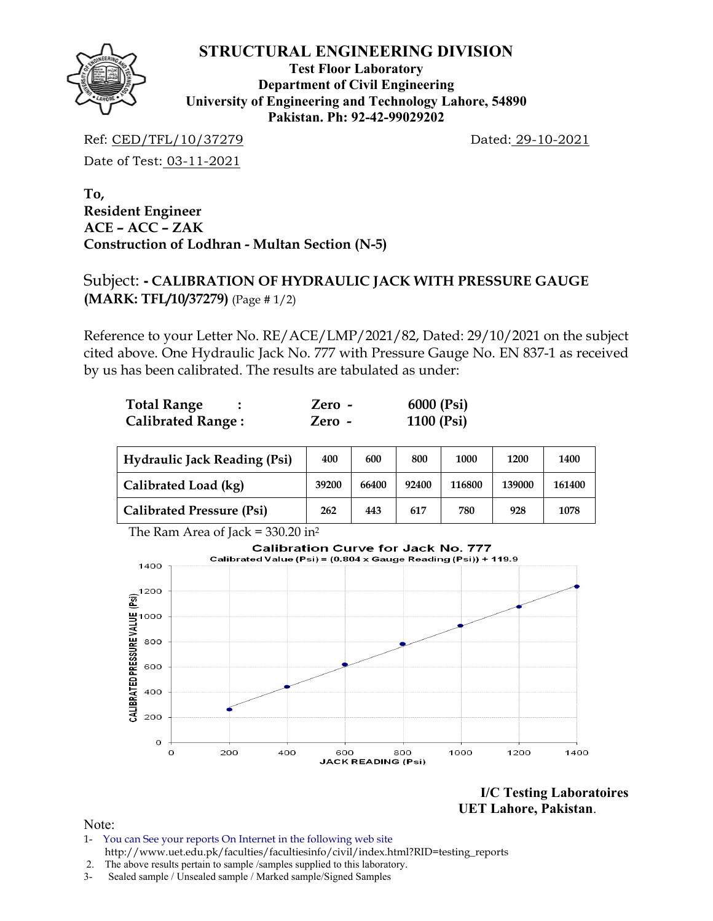

**Test Floor Laboratory Department of Civil Engineering University of Engineering and Technology Lahore, 54890 Pakistan. Ph: 92-42-99029202** 

Ref: CED/TFL/10/37279 Dated: 29-10-2021

Date of Test: 03-11-2021

**To, Resident Engineer ACE – ACC – ZAK Construction of Lodhran - Multan Section (N-5)** 

# Subject: **- CALIBRATION OF HYDRAULIC JACK WITH PRESSURE GAUGE (MARK: TFL/10/37279)** (Page # 1/2)

Reference to your Letter No. RE/ACE/LMP/2021/82, Dated: 29/10/2021 on the subject cited above. One Hydraulic Jack No. 777 with Pressure Gauge No. EN 837-1 as received by us has been calibrated. The results are tabulated as under:

| <b>Total Range</b>       | Zero - | 6000 (Psi) |
|--------------------------|--------|------------|
| <b>Calibrated Range:</b> | Zero - | 1100 (Psi) |

| <b>Hydraulic Jack Reading (Psi)</b> | 400   | 600   | 800   | 1000   | 1200   | 1400   |
|-------------------------------------|-------|-------|-------|--------|--------|--------|
| Calibrated Load (kg)                | 39200 | 66400 | 92400 | 116800 | 139000 | 161400 |
| <b>Calibrated Pressure (Psi)</b>    | 262   | 443   | 617   | 780    | 928    | 1078   |



**I/C Testing Laboratoires UET Lahore, Pakistan**.

Note:

- 1- You can See your reports On Internet in the following web site http://www.uet.edu.pk/faculties/facultiesinfo/civil/index.html?RID=testing\_reports
- 2. The above results pertain to sample /samples supplied to this laboratory.
- 3- Sealed sample / Unsealed sample / Marked sample/Signed Samples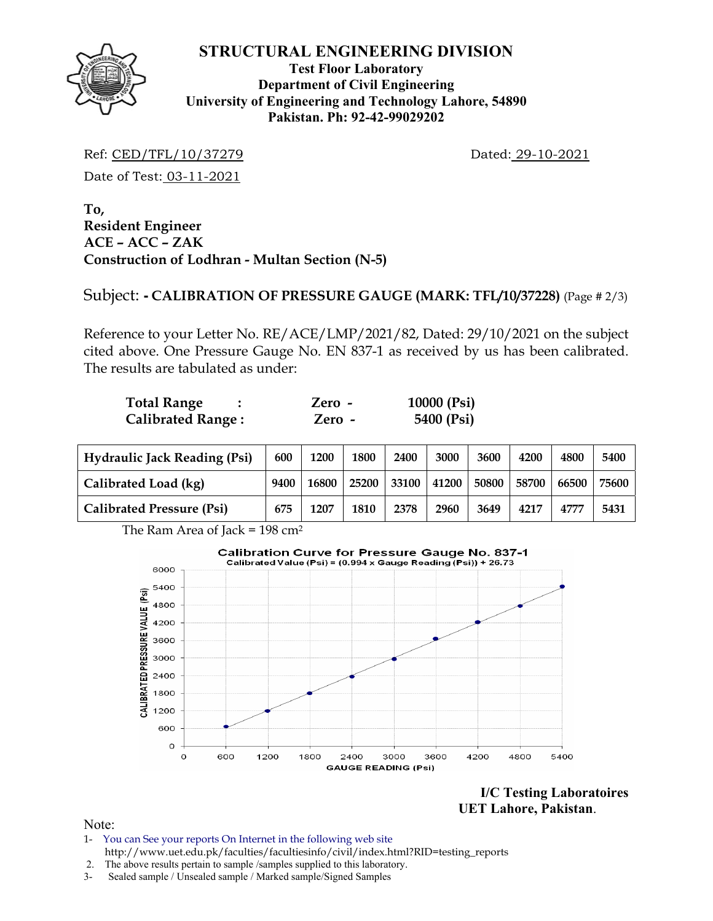

## **Test Floor Laboratory Department of Civil Engineering University of Engineering and Technology Lahore, 54890 Pakistan. Ph: 92-42-99029202**

Ref: CED/TFL/10/37279 Dated: 29-10-2021

Date of Test: 03-11-2021

**To, Resident Engineer ACE – ACC – ZAK Construction of Lodhran - Multan Section (N-5)** 

# Subject: **- CALIBRATION OF PRESSURE GAUGE (MARK: TFL/10/37228)** (Page # 2/3)

Reference to your Letter No. RE/ACE/LMP/2021/82, Dated: 29/10/2021 on the subject cited above. One Pressure Gauge No. EN 837-1 as received by us has been calibrated. The results are tabulated as under:

| <b>Total Range</b>       | Zero - | 10000 $(Psi)$ |
|--------------------------|--------|---------------|
| <b>Calibrated Range:</b> | Zero - | 5400 (Psi)    |

| <b>Hydraulic Jack Reading (Psi)</b> | 600  | 1200  | 1800  | 2400  | 3000  | 3600  | 4200  | 4800  | 5400  |
|-------------------------------------|------|-------|-------|-------|-------|-------|-------|-------|-------|
| Calibrated Load (kg)                | 9400 | 16800 | 25200 | 33100 | 41200 | 50800 | 58700 | 66500 | 75600 |
| <b>Calibrated Pressure (Psi)</b>    | 675  | 1207  | 1810  | 2378  | 2960  | 3649  | 4217  | 4777  | 5431  |

The Ram Area of Jack =  $198 \text{ cm}^2$ 



**I/C Testing Laboratoires UET Lahore, Pakistan**.

Note:

- 1- You can See your reports On Internet in the following web site http://www.uet.edu.pk/faculties/facultiesinfo/civil/index.html?RID=testing\_reports
- 2. The above results pertain to sample /samples supplied to this laboratory.
- 3- Sealed sample / Unsealed sample / Marked sample/Signed Samples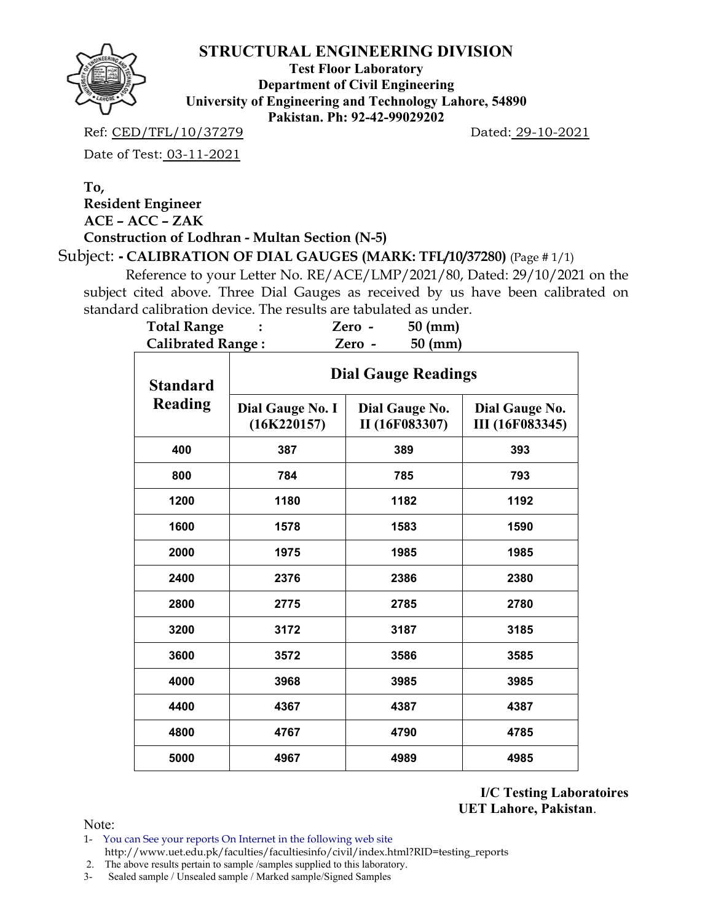

**Test Floor Laboratory Department of Civil Engineering University of Engineering and Technology Lahore, 54890 Pakistan. Ph: 92-42-99029202** 

Ref: CED/TFL/10/37279 Dated: 29-10-2021

Date of Test: 03-11-2021

# **To, Resident Engineer ACE – ACC – ZAK**

**Construction of Lodhran - Multan Section (N-5)** 

Subject: **- CALIBRATION OF DIAL GAUGES (MARK: TFL/10/37280)** (Page # 1/1)

 Reference to your Letter No. RE/ACE/LMP/2021/80, Dated: 29/10/2021 on the subject cited above. Three Dial Gauges as received by us have been calibrated on standard calibration device. The results are tabulated as under.<br>**Total Pange**  $\cdot$  **7 7 7 7 7 60 (mm)** 

| <b>Total Range</b>       |                                 | $50$ (mm)<br>Zero -              |                                          |  |  |  |  |  |  |
|--------------------------|---------------------------------|----------------------------------|------------------------------------------|--|--|--|--|--|--|
| <b>Calibrated Range:</b> |                                 | $50$ (mm)<br>Zero -              |                                          |  |  |  |  |  |  |
| <b>Standard</b>          | <b>Dial Gauge Readings</b>      |                                  |                                          |  |  |  |  |  |  |
| <b>Reading</b>           | Dial Gauge No. I<br>(16K220157) | Dial Gauge No.<br>II (16F083307) | Dial Gauge No.<br><b>III</b> (16F083345) |  |  |  |  |  |  |
| 400                      | 387                             | 389                              | 393                                      |  |  |  |  |  |  |
| 800                      | 784                             | 785                              | 793                                      |  |  |  |  |  |  |
| 1200                     | 1180                            | 1182                             | 1192                                     |  |  |  |  |  |  |
| 1600                     | 1578                            | 1583                             | 1590                                     |  |  |  |  |  |  |
| 2000                     | 1975                            | 1985                             | 1985                                     |  |  |  |  |  |  |
| 2400                     | 2376                            | 2386                             | 2380                                     |  |  |  |  |  |  |
| 2800                     | 2775                            | 2785                             | 2780                                     |  |  |  |  |  |  |
| 3200                     | 3172                            | 3187                             | 3185                                     |  |  |  |  |  |  |
| 3600                     | 3572                            | 3586                             | 3585                                     |  |  |  |  |  |  |
| 4000                     | 3968                            | 3985                             | 3985                                     |  |  |  |  |  |  |
| 4400                     | 4367                            | 4387                             | 4387                                     |  |  |  |  |  |  |
| 4800                     | 4767                            | 4790                             | 4785                                     |  |  |  |  |  |  |
| 5000                     | 4967                            | 4989                             | 4985                                     |  |  |  |  |  |  |

**I/C Testing Laboratoires UET Lahore, Pakistan**.

Note:

1- You can See your reports On Internet in the following web site http://www.uet.edu.pk/faculties/facultiesinfo/civil/index.html?RID=testing\_reports

2. The above results pertain to sample /samples supplied to this laboratory.

3- Sealed sample / Unsealed sample / Marked sample/Signed Samples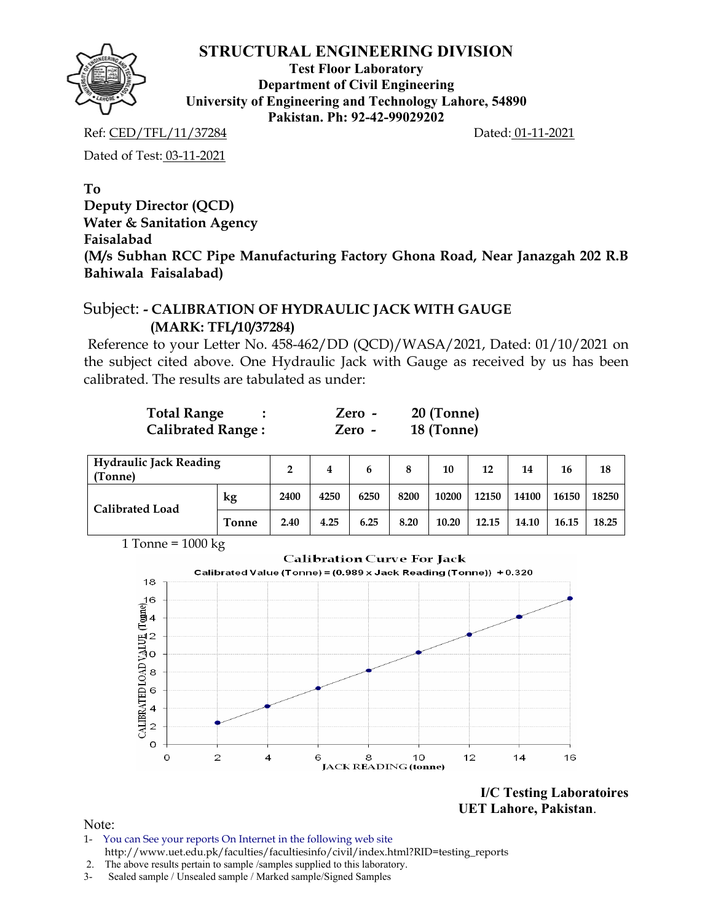**Test Floor Laboratory Department of Civil Engineering University of Engineering and Technology Lahore, 54890 Pakistan. Ph: 92-42-99029202** 

Ref: CED/TFL/11/37284 Dated: 01-11-2021

Dated of Test: 03-11-2021

## **To Deputy Director (QCD) Water & Sanitation Agency Faisalabad (M/s Subhan RCC Pipe Manufacturing Factory Ghona Road, Near Janazgah 202 R.B Bahiwala Faisalabad)**

# Subject: **- CALIBRATION OF HYDRAULIC JACK WITH GAUGE (MARK: TFL/10/37284)**

Reference to your Letter No. 458-462/DD (QCD)/WASA/2021, Dated: 01/10/2021 on the subject cited above. One Hydraulic Jack with Gauge as received by us has been calibrated. The results are tabulated as under:

| <b>Total Range</b>       | $Zero -$ | 20 (Tonne) |
|--------------------------|----------|------------|
| <b>Calibrated Range:</b> | Zero -   | 18 (Tonne) |

| <b>Hydraulic Jack Reading</b><br>(Tonne) | າ            | 4    | 6    | 8    | 10   | 12    | 14    | 16    | 18    |       |
|------------------------------------------|--------------|------|------|------|------|-------|-------|-------|-------|-------|
| <b>Calibrated Load</b>                   | kg           | 2400 | 4250 | 6250 | 8200 | 10200 | 12150 | 14100 | 16150 | 18250 |
|                                          | <b>Tonne</b> | 2.40 | 4.25 | 6.25 | 8.20 | 10.20 | 12.15 | 14.10 | 16.15 | 18.25 |

1 Tonne =  $1000 kg$ 



**I/C Testing Laboratoires UET Lahore, Pakistan**.

Note:

- 1- You can See your reports On Internet in the following web site http://www.uet.edu.pk/faculties/facultiesinfo/civil/index.html?RID=testing\_reports
- 2. The above results pertain to sample /samples supplied to this laboratory.
- 3- Sealed sample / Unsealed sample / Marked sample/Signed Samples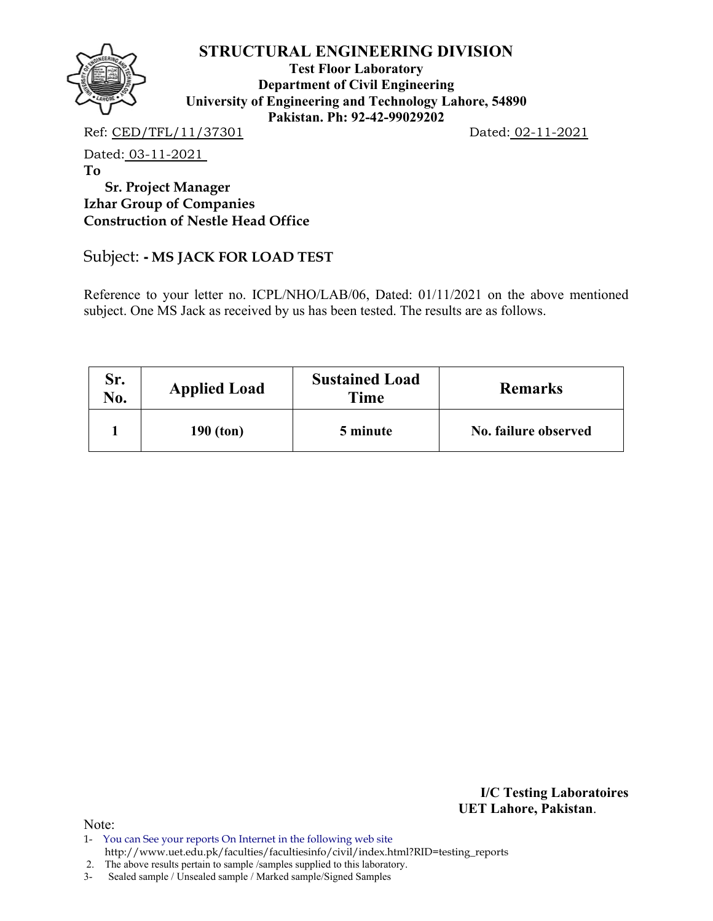

**Test Floor Laboratory Department of Civil Engineering University of Engineering and Technology Lahore, 54890 Pakistan. Ph: 92-42-99029202** 

Ref: CED/TFL/11/37301 Dated: 02-11-2021

Dated: 03-11-2021

**To** 

 **Sr. Project Manager Izhar Group of Companies Construction of Nestle Head Office** 

## Subject: **- MS JACK FOR LOAD TEST**

Reference to your letter no. ICPL/NHO/LAB/06, Dated: 01/11/2021 on the above mentioned subject. One MS Jack as received by us has been tested. The results are as follows.

| Sr.<br>No. | <b>Applied Load</b> | <b>Sustained Load</b><br>Time | <b>Remarks</b>       |
|------------|---------------------|-------------------------------|----------------------|
|            | $190$ (ton)         | 5 minute                      | No. failure observed |

**I/C Testing Laboratoires UET Lahore, Pakistan**.

Note:

2. The above results pertain to sample /samples supplied to this laboratory.

3- Sealed sample / Unsealed sample / Marked sample/Signed Samples